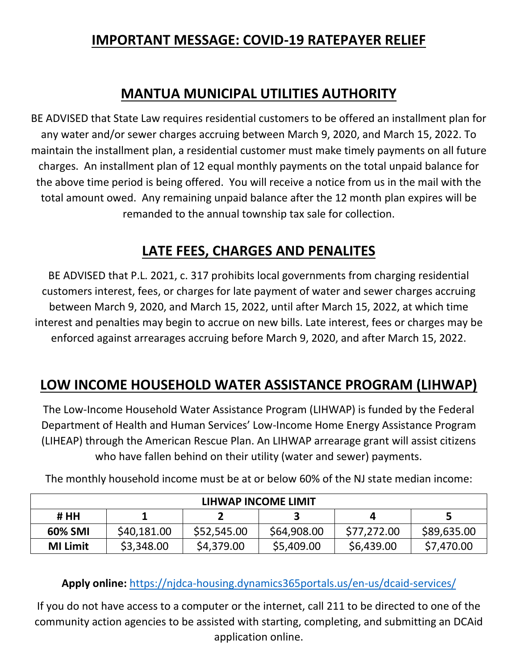### **IMPORTANT MESSAGE: COVID-19 RATEPAYER RELIEF**

### **MANTUA MUNICIPAL UTILITIES AUTHORITY**

BE ADVISED that State Law requires residential customers to be offered an installment plan for any water and/or sewer charges accruing between March 9, 2020, and March 15, 2022. To maintain the installment plan, a residential customer must make timely payments on all future charges. An installment plan of 12 equal monthly payments on the total unpaid balance for the above time period is being offered. You will receive a notice from us in the mail with the total amount owed. Any remaining unpaid balance after the 12 month plan expires will be remanded to the annual township tax sale for collection.

## **LATE FEES, CHARGES AND PENALITES**

BE ADVISED that P.L. 2021, c. 317 prohibits local governments from charging residential customers interest, fees, or charges for late payment of water and sewer charges accruing between March 9, 2020, and March 15, 2022, until after March 15, 2022, at which time interest and penalties may begin to accrue on new bills. Late interest, fees or charges may be enforced against arrearages accruing before March 9, 2020, and after March 15, 2022.

# **LOW INCOME HOUSEHOLD WATER ASSISTANCE PROGRAM (LIHWAP)**

The Low-Income Household Water Assistance Program (LIHWAP) is funded by the Federal Department of Health and Human Services' Low-Income Home Energy Assistance Program (LIHEAP) through the American Rescue Plan. An LIHWAP arrearage grant will assist citizens who have fallen behind on their utility (water and sewer) payments.

| LIHWAP INCOME LIMIT |             |             |             |             |             |
|---------------------|-------------|-------------|-------------|-------------|-------------|
| # HH                |             |             |             | 4           |             |
| 60% SMI             | \$40,181.00 | \$52,545.00 | \$64,908.00 | \$77,272.00 | \$89,635.00 |
| <b>MI Limit</b>     | \$3,348.00  | \$4,379.00  | \$5,409.00  | \$6,439.00  | \$7,470.00  |

The monthly household income must be at or below 60% of the NJ state median income:

**Apply online:** <https://njdca-housing.dynamics365portals.us/en-us/dcaid-services/>

If you do not have access to a computer or the internet, call 211 to be directed to one of the community action agencies to be assisted with starting, completing, and submitting an DCAid application online.